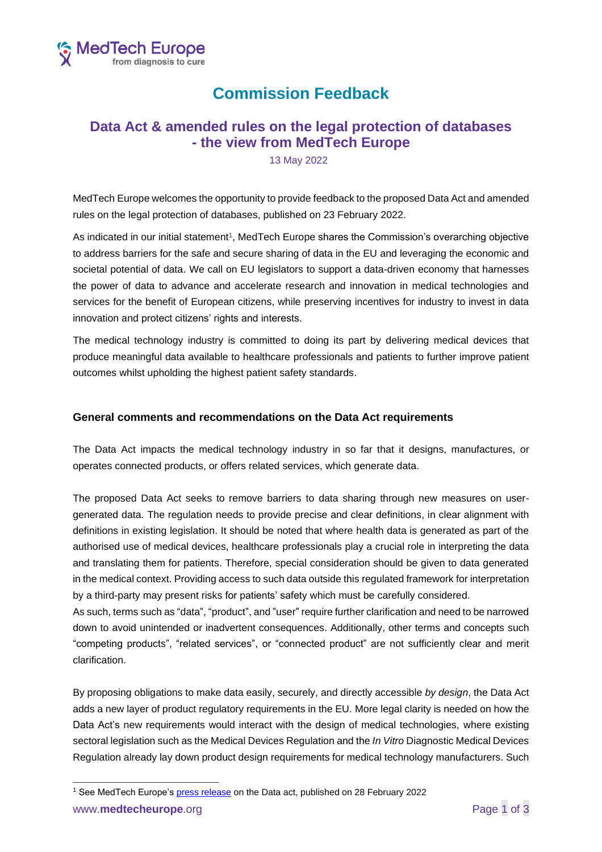

## **Commission Feedback**

## **Data Act & amended rules on the legal protection of databases - the view from MedTech Europe**

13 May 2022

MedTech Europe welcomes the opportunity to provide feedback to the proposed Data Act and amended rules on the legal protection of databases, published on 23 February 2022.

As indicated in our initial statement<sup>1</sup>, MedTech Europe shares the Commission's overarching objective to address barriers for the safe and secure sharing of data in the EU and leveraging the economic and societal potential of data. We call on EU legislators to support a data-driven economy that harnesses the power of data to advance and accelerate research and innovation in medical technologies and services for the benefit of European citizens, while preserving incentives for industry to invest in data innovation and protect citizens' rights and interests.

The medical technology industry is committed to doing its part by delivering medical devices that produce meaningful data available to healthcare professionals and patients to further improve patient outcomes whilst upholding the highest patient safety standards.

## **General comments and recommendations on the Data Act requirements**

The Data Act impacts the medical technology industry in so far that it designs, manufactures, or operates connected products, or offers related services, which generate data.

The proposed Data Act seeks to remove barriers to data sharing through new measures on usergenerated data. The regulation needs to provide precise and clear definitions, in clear alignment with definitions in existing legislation. It should be noted that where health data is generated as part of the authorised use of medical devices, healthcare professionals play a crucial role in interpreting the data and translating them for patients. Therefore, special consideration should be given to data generated in the medical context. Providing access to such data outside this regulated framework for interpretation by a third-party may present risks for patients' safety which must be carefully considered.

As such, terms such as "data", "product", and "user" require further clarification and need to be narrowed down to avoid unintended or inadvertent consequences. Additionally, other terms and concepts such "competing products", "related services", or "connected product" are not sufficiently clear and merit clarification.

By proposing obligations to make data easily, securely, and directly accessible *by design*, the Data Act adds a new layer of product regulatory requirements in the EU. More legal clarity is needed on how the Data Act's new requirements would interact with the design of medical technologies, where existing sectoral legislation such as the Medical Devices Regulation and the *In Vitro* Diagnostic Medical Devices Regulation already lay down product design requirements for medical technology manufacturers. Such

<sup>1</sup> See MedTech Europe's [press release](https://www.medtecheurope.org/wp-content/uploads/2022/02/220228_mte_press-release_data-act.pdf) on the Data act, published on 28 February 2022

www.**medtecheurope**.org **Page 1 of 3**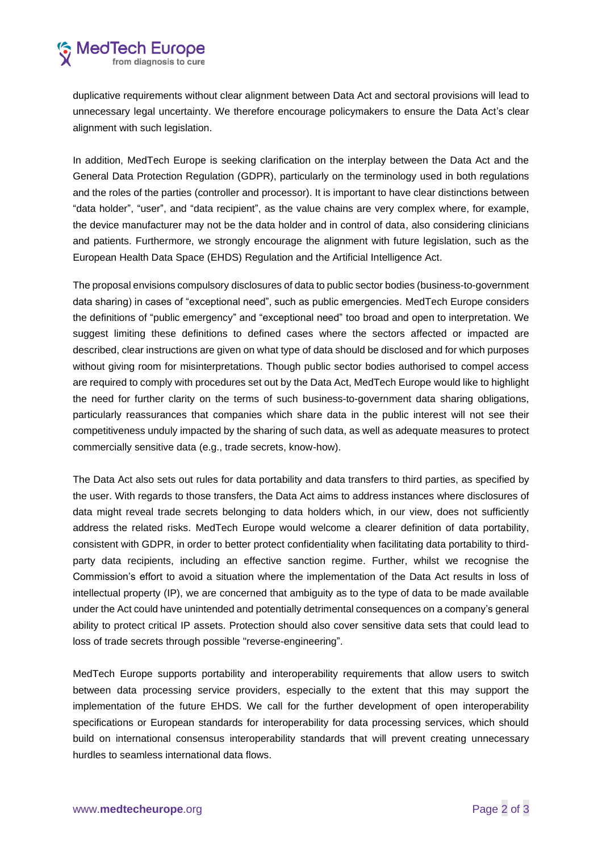duplicative requirements without clear alignment between Data Act and sectoral provisions will lead to unnecessary legal uncertainty. We therefore encourage policymakers to ensure the Data Act's clear alignment with such legislation.

In addition, MedTech Europe is seeking clarification on the interplay between the Data Act and the General Data Protection Regulation (GDPR), particularly on the terminology used in both regulations and the roles of the parties (controller and processor). It is important to have clear distinctions between "data holder", "user", and "data recipient", as the value chains are very complex where, for example, the device manufacturer may not be the data holder and in control of data, also considering clinicians and patients. Furthermore, we strongly encourage the alignment with future legislation, such as the European Health Data Space (EHDS) Regulation and the Artificial Intelligence Act.

The proposal envisions compulsory disclosures of data to public sector bodies (business-to-government data sharing) in cases of "exceptional need", such as public emergencies. MedTech Europe considers the definitions of "public emergency" and "exceptional need" too broad and open to interpretation. We suggest limiting these definitions to defined cases where the sectors affected or impacted are described, clear instructions are given on what type of data should be disclosed and for which purposes without giving room for misinterpretations. Though public sector bodies authorised to compel access are required to comply with procedures set out by the Data Act, MedTech Europe would like to highlight the need for further clarity on the terms of such business-to-government data sharing obligations, particularly reassurances that companies which share data in the public interest will not see their competitiveness unduly impacted by the sharing of such data, as well as adequate measures to protect commercially sensitive data (e.g., trade secrets, know-how).

The Data Act also sets out rules for data portability and data transfers to third parties, as specified by the user. With regards to those transfers, the Data Act aims to address instances where disclosures of data might reveal trade secrets belonging to data holders which, in our view, does not sufficiently address the related risks. MedTech Europe would welcome a clearer definition of data portability, consistent with GDPR, in order to better protect confidentiality when facilitating data portability to thirdparty data recipients, including an effective sanction regime. Further, whilst we recognise the Commission's effort to avoid a situation where the implementation of the Data Act results in loss of intellectual property (IP), we are concerned that ambiguity as to the type of data to be made available under the Act could have unintended and potentially detrimental consequences on a company's general ability to protect critical IP assets. Protection should also cover sensitive data sets that could lead to loss of trade secrets through possible "reverse-engineering".

MedTech Europe supports portability and interoperability requirements that allow users to switch between data processing service providers, especially to the extent that this may support the implementation of the future EHDS. We call for the further development of open interoperability specifications or European standards for interoperability for data processing services, which should build on international consensus interoperability standards that will prevent creating unnecessary hurdles to seamless international data flows.